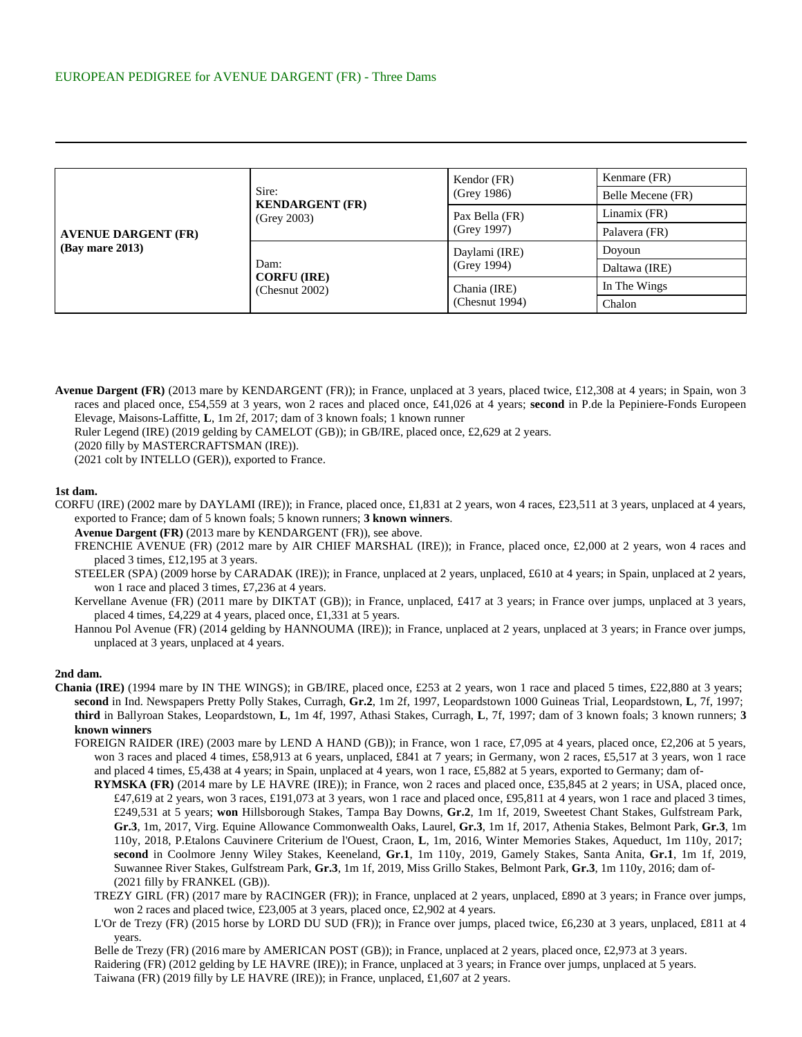| <b>AVENUE DARGENT (FR)</b><br>$(Bay \text{ mare } 2013)$ | Sire:<br><b>KENDARGENT (FR)</b><br>(Grey 2003)  | Kendor (FR)<br>(Grey 1986)     | Kenmare (FR)      |
|----------------------------------------------------------|-------------------------------------------------|--------------------------------|-------------------|
|                                                          |                                                 |                                | Belle Mecene (FR) |
|                                                          |                                                 | Pax Bella (FR)<br>(Grey 1997)  | Linamix (FR)      |
|                                                          |                                                 |                                | Palavera (FR)     |
|                                                          | Dam:<br><b>CORFU (IRE)</b><br>(Chesnut $2002$ ) | Daylami (IRE)<br>(Grey 1994)   | Doyoun            |
|                                                          |                                                 |                                | Daltawa (IRE)     |
|                                                          |                                                 | Chania (IRE)<br>(Chesnut 1994) | In The Wings      |
|                                                          |                                                 |                                | Chalon            |

**Avenue Dargent (FR)** (2013 mare by KENDARGENT (FR)); in France, unplaced at 3 years, placed twice, £12,308 at 4 years; in Spain, won 3 races and placed once, £54,559 at 3 years, won 2 races and placed once, £41,026 at 4 years; **second** in P.de la Pepiniere-Fonds Europeen Elevage, Maisons-Laffitte, **L**, 1m 2f, 2017; dam of 3 known foals; 1 known runner

Ruler Legend (IRE) (2019 gelding by CAMELOT (GB)); in GB/IRE, placed once, £2,629 at 2 years.

(2020 filly by MASTERCRAFTSMAN (IRE)).

(2021 colt by INTELLO (GER)), exported to France.

## **1st dam.**

CORFU (IRE) (2002 mare by DAYLAMI (IRE)); in France, placed once, £1,831 at 2 years, won 4 races, £23,511 at 3 years, unplaced at 4 years, exported to France; dam of 5 known foals; 5 known runners; **3 known winners**.

**Avenue Dargent (FR)** (2013 mare by KENDARGENT (FR)), see above.

FRENCHIE AVENUE (FR) (2012 mare by AIR CHIEF MARSHAL (IRE)); in France, placed once, £2,000 at 2 years, won 4 races and placed 3 times, £12,195 at 3 years.

STEELER (SPA) (2009 horse by CARADAK (IRE)); in France, unplaced at 2 years, unplaced, £610 at 4 years; in Spain, unplaced at 2 years, won 1 race and placed 3 times, £7,236 at 4 years.

Kervellane Avenue (FR) (2011 mare by DIKTAT (GB)); in France, unplaced, £417 at 3 years; in France over jumps, unplaced at 3 years, placed 4 times, £4,229 at 4 years, placed once, £1,331 at 5 years.

Hannou Pol Avenue (FR) (2014 gelding by HANNOUMA (IRE)); in France, unplaced at 2 years, unplaced at 3 years; in France over jumps, unplaced at 3 years, unplaced at 4 years.

## **2nd dam.**

- **Chania (IRE)** (1994 mare by IN THE WINGS); in GB/IRE, placed once, £253 at 2 years, won 1 race and placed 5 times, £22,880 at 3 years; **second** in Ind. Newspapers Pretty Polly Stakes, Curragh, **Gr.2**, 1m 2f, 1997, Leopardstown 1000 Guineas Trial, Leopardstown, **L**, 7f, 1997; **third** in Ballyroan Stakes, Leopardstown, **L**, 1m 4f, 1997, Athasi Stakes, Curragh, **L**, 7f, 1997; dam of 3 known foals; 3 known runners; **3 known winners**
	- FOREIGN RAIDER (IRE) (2003 mare by LEND A HAND (GB)); in France, won 1 race, £7,095 at 4 years, placed once, £2,206 at 5 years, won 3 races and placed 4 times, £58,913 at 6 years, unplaced, £841 at 7 years; in Germany, won 2 races, £5,517 at 3 years, won 1 race and placed 4 times, £5,438 at 4 years; in Spain, unplaced at 4 years, won 1 race, £5,882 at 5 years, exported to Germany; dam of-
		- **RYMSKA (FR)** (2014 mare by LE HAVRE (IRE)); in France, won 2 races and placed once, £35,845 at 2 years; in USA, placed once, £47,619 at 2 years, won 3 races, £191,073 at 3 years, won 1 race and placed once, £95,811 at 4 years, won 1 race and placed 3 times, £249,531 at 5 years; **won** Hillsborough Stakes, Tampa Bay Downs, **Gr.2**, 1m 1f, 2019, Sweetest Chant Stakes, Gulfstream Park, **Gr.3**, 1m, 2017, Virg. Equine Allowance Commonwealth Oaks, Laurel, **Gr.3**, 1m 1f, 2017, Athenia Stakes, Belmont Park, **Gr.3**, 1m 110y, 2018, P.Etalons Cauvinere Criterium de l'Ouest, Craon, **L**, 1m, 2016, Winter Memories Stakes, Aqueduct, 1m 110y, 2017; **second** in Coolmore Jenny Wiley Stakes, Keeneland, **Gr.1**, 1m 110y, 2019, Gamely Stakes, Santa Anita, **Gr.1**, 1m 1f, 2019, Suwannee River Stakes, Gulfstream Park, **Gr.3**, 1m 1f, 2019, Miss Grillo Stakes, Belmont Park, **Gr.3**, 1m 110y, 2016; dam of- (2021 filly by FRANKEL (GB)).
		- TREZY GIRL (FR) (2017 mare by RACINGER (FR)); in France, unplaced at 2 years, unplaced, £890 at 3 years; in France over jumps, won 2 races and placed twice, £23,005 at 3 years, placed once, £2,902 at 4 years.
		- L'Or de Trezy (FR) (2015 horse by LORD DU SUD (FR)); in France over jumps, placed twice, £6,230 at 3 years, unplaced, £811 at 4 years.

Belle de Trezy (FR) (2016 mare by AMERICAN POST (GB)); in France, unplaced at 2 years, placed once, £2,973 at 3 years.

Raidering (FR) (2012 gelding by LE HAVRE (IRE)); in France, unplaced at 3 years; in France over jumps, unplaced at 5 years. Taiwana (FR) (2019 filly by LE HAVRE (IRE)); in France, unplaced, £1,607 at 2 years.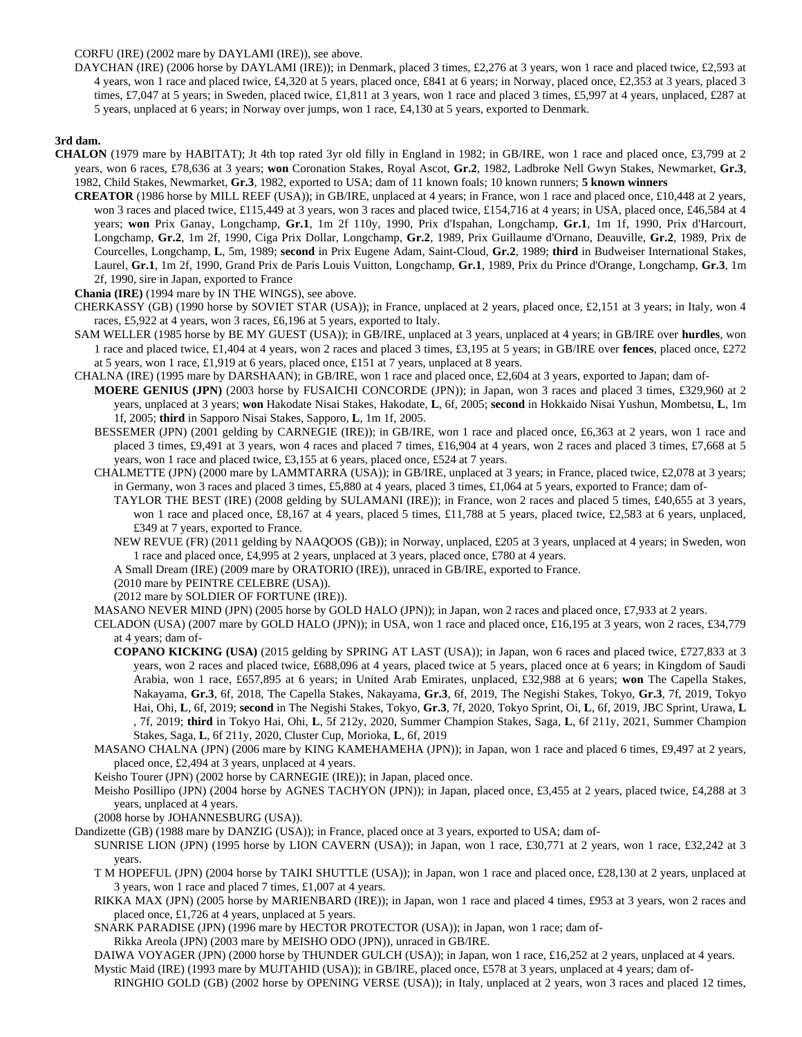CORFU (IRE) (2002 mare by DAYLAMI (IRE)), see above.

DAYCHAN (IRE) (2006 horse by DAYLAMI (IRE)); in Denmark, placed 3 times, £2,276 at 3 years, won 1 race and placed twice, £2,593 at 4 years, won 1 race and placed twice, £4,320 at 5 years, placed once, £841 at 6 years; in Norway, placed once, £2,353 at 3 years, placed 3 times, £7,047 at 5 years; in Sweden, placed twice, £1,811 at 3 years, won 1 race and placed 3 times, £5,997 at 4 years, unplaced, £287 at 5 years, unplaced at 6 years; in Norway over jumps, won 1 race, £4,130 at 5 years, exported to Denmark.

## **3rd dam.**

- **CHALON** (1979 mare by HABITAT); Jt 4th top rated 3yr old filly in England in 1982; in GB/IRE, won 1 race and placed once, £3,799 at 2 years, won 6 races, £78,636 at 3 years; **won** Coronation Stakes, Royal Ascot, **Gr.2**, 1982, Ladbroke Nell Gwyn Stakes, Newmarket, **Gr.3**, 1982, Child Stakes, Newmarket, **Gr.3**, 1982, exported to USA; dam of 11 known foals; 10 known runners; **5 known winners**
	- **CREATOR** (1986 horse by MILL REEF (USA)); in GB/IRE, unplaced at 4 years; in France, won 1 race and placed once, £10,448 at 2 years, won 3 races and placed twice, £115,449 at 3 years, won 3 races and placed twice, £154,716 at 4 years; in USA, placed once, £46,584 at 4 years; **won** Prix Ganay, Longchamp, **Gr.1**, 1m 2f 110y, 1990, Prix d'Ispahan, Longchamp, **Gr.1**, 1m 1f, 1990, Prix d'Harcourt, Longchamp, **Gr.2**, 1m 2f, 1990, Ciga Prix Dollar, Longchamp, **Gr.2**, 1989, Prix Guillaume d'Ornano, Deauville, **Gr.2**, 1989, Prix de Courcelles, Longchamp, **L**, 5m, 1989; **second** in Prix Eugene Adam, Saint-Cloud, **Gr.2**, 1989; **third** in Budweiser International Stakes, Laurel, **Gr.1**, 1m 2f, 1990, Grand Prix de Paris Louis Vuitton, Longchamp, **Gr.1**, 1989, Prix du Prince d'Orange, Longchamp, **Gr.3**, 1m 2f, 1990, sire in Japan, exported to France

**Chania (IRE)** (1994 mare by IN THE WINGS), see above.

- CHERKASSY (GB) (1990 horse by SOVIET STAR (USA)); in France, unplaced at 2 years, placed once, £2,151 at 3 years; in Italy, won 4 races, £5,922 at 4 years, won 3 races, £6,196 at 5 years, exported to Italy.
- SAM WELLER (1985 horse by BE MY GUEST (USA)); in GB/IRE, unplaced at 3 years, unplaced at 4 years; in GB/IRE over **hurdles**, won 1 race and placed twice, £1,404 at 4 years, won 2 races and placed 3 times, £3,195 at 5 years; in GB/IRE over **fences**, placed once, £272 at 5 years, won 1 race, £1,919 at 6 years, placed once, £151 at 7 years, unplaced at 8 years.
- CHALNA (IRE) (1995 mare by DARSHAAN); in GB/IRE, won 1 race and placed once, £2,604 at 3 years, exported to Japan; dam of-
	- **MOERE GENIUS (JPN)** (2003 horse by FUSAICHI CONCORDE (JPN)); in Japan, won 3 races and placed 3 times, £329,960 at 2 years, unplaced at 3 years; **won** Hakodate Nisai Stakes, Hakodate, **L**, 6f, 2005; **second** in Hokkaido Nisai Yushun, Mombetsu, **L**, 1m 1f, 2005; **third** in Sapporo Nisai Stakes, Sapporo, **L**, 1m 1f, 2005.
	- BESSEMER (JPN) (2001 gelding by CARNEGIE (IRE)); in GB/IRE, won 1 race and placed once, £6,363 at 2 years, won 1 race and placed 3 times, £9,491 at 3 years, won 4 races and placed 7 times, £16,904 at 4 years, won 2 races and placed 3 times, £7,668 at 5 years, won 1 race and placed twice, £3,155 at 6 years, placed once, £524 at 7 years.
	- CHALMETTE (JPN) (2000 mare by LAMMTARRA (USA)); in GB/IRE, unplaced at 3 years; in France, placed twice, £2,078 at 3 years; in Germany, won 3 races and placed 3 times, £5,880 at 4 years, placed 3 times, £1,064 at 5 years, exported to France; dam of-
		- TAYLOR THE BEST (IRE) (2008 gelding by SULAMANI (IRE)); in France, won 2 races and placed 5 times, £40,655 at 3 years, won 1 race and placed once, £8,167 at 4 years, placed 5 times, £11,788 at 5 years, placed twice, £2,583 at 6 years, unplaced, £349 at 7 years, exported to France.
		- NEW REVUE (FR) (2011 gelding by NAAQOOS (GB)); in Norway, unplaced, £205 at 3 years, unplaced at 4 years; in Sweden, won 1 race and placed once, £4,995 at 2 years, unplaced at 3 years, placed once, £780 at 4 years.
		- A Small Dream (IRE) (2009 mare by ORATORIO (IRE)), unraced in GB/IRE, exported to France.

(2010 mare by PEINTRE CELEBRE (USA)).

- (2012 mare by SOLDIER OF FORTUNE (IRE)).
- MASANO NEVER MIND (JPN) (2005 horse by GOLD HALO (JPN)); in Japan, won 2 races and placed once, £7,933 at 2 years.
- CELADON (USA) (2007 mare by GOLD HALO (JPN)); in USA, won 1 race and placed once, £16,195 at 3 years, won 2 races, £34,779 at 4 years; dam of-
	- **COPANO KICKING (USA)** (2015 gelding by SPRING AT LAST (USA)); in Japan, won 6 races and placed twice, £727,833 at 3 years, won 2 races and placed twice, £688,096 at 4 years, placed twice at 5 years, placed once at 6 years; in Kingdom of Saudi Arabia, won 1 race, £657,895 at 6 years; in United Arab Emirates, unplaced, £32,988 at 6 years; **won** The Capella Stakes, Nakayama, **Gr.3**, 6f, 2018, The Capella Stakes, Nakayama, **Gr.3**, 6f, 2019, The Negishi Stakes, Tokyo, **Gr.3**, 7f, 2019, Tokyo Hai, Ohi, **L**, 6f, 2019; **second** in The Negishi Stakes, Tokyo, **Gr.3**, 7f, 2020, Tokyo Sprint, Oi, **L**, 6f, 2019, JBC Sprint, Urawa, **L** , 7f, 2019; **third** in Tokyo Hai, Ohi, **L**, 5f 212y, 2020, Summer Champion Stakes, Saga, **L**, 6f 211y, 2021, Summer Champion Stakes, Saga, **L**, 6f 211y, 2020, Cluster Cup, Morioka, **L**, 6f, 2019
- MASANO CHALNA (JPN) (2006 mare by KING KAMEHAMEHA (JPN)); in Japan, won 1 race and placed 6 times, £9,497 at 2 years, placed once, £2,494 at 3 years, unplaced at 4 years.
- Keisho Tourer (JPN) (2002 horse by CARNEGIE (IRE)); in Japan, placed once.
- Meisho Posillipo (JPN) (2004 horse by AGNES TACHYON (JPN)); in Japan, placed once, £3,455 at 2 years, placed twice, £4,288 at 3 years, unplaced at 4 years.

(2008 horse by JOHANNESBURG (USA)).

- Dandizette (GB) (1988 mare by DANZIG (USA)); in France, placed once at 3 years, exported to USA; dam of-
	- SUNRISE LION (JPN) (1995 horse by LION CAVERN (USA)); in Japan, won 1 race, £30,771 at 2 years, won 1 race, £32,242 at 3 years.
	- T M HOPEFUL (JPN) (2004 horse by TAIKI SHUTTLE (USA)); in Japan, won 1 race and placed once, £28,130 at 2 years, unplaced at 3 years, won 1 race and placed 7 times, £1,007 at 4 years.
	- RIKKA MAX (JPN) (2005 horse by MARIENBARD (IRE)); in Japan, won 1 race and placed 4 times, £953 at 3 years, won 2 races and placed once, £1,726 at 4 years, unplaced at 5 years.
	- SNARK PARADISE (JPN) (1996 mare by HECTOR PROTECTOR (USA)); in Japan, won 1 race; dam of-
	- Rikka Areola (JPN) (2003 mare by MEISHO ODO (JPN)), unraced in GB/IRE.

DAIWA VOYAGER (JPN) (2000 horse by THUNDER GULCH (USA)); in Japan, won 1 race, £16,252 at 2 years, unplaced at 4 years.

Mystic Maid (IRE) (1993 mare by MUJTAHID (USA)); in GB/IRE, placed once, £578 at 3 years, unplaced at 4 years; dam of-

RINGHIO GOLD (GB) (2002 horse by OPENING VERSE (USA)); in Italy, unplaced at 2 years, won 3 races and placed 12 times,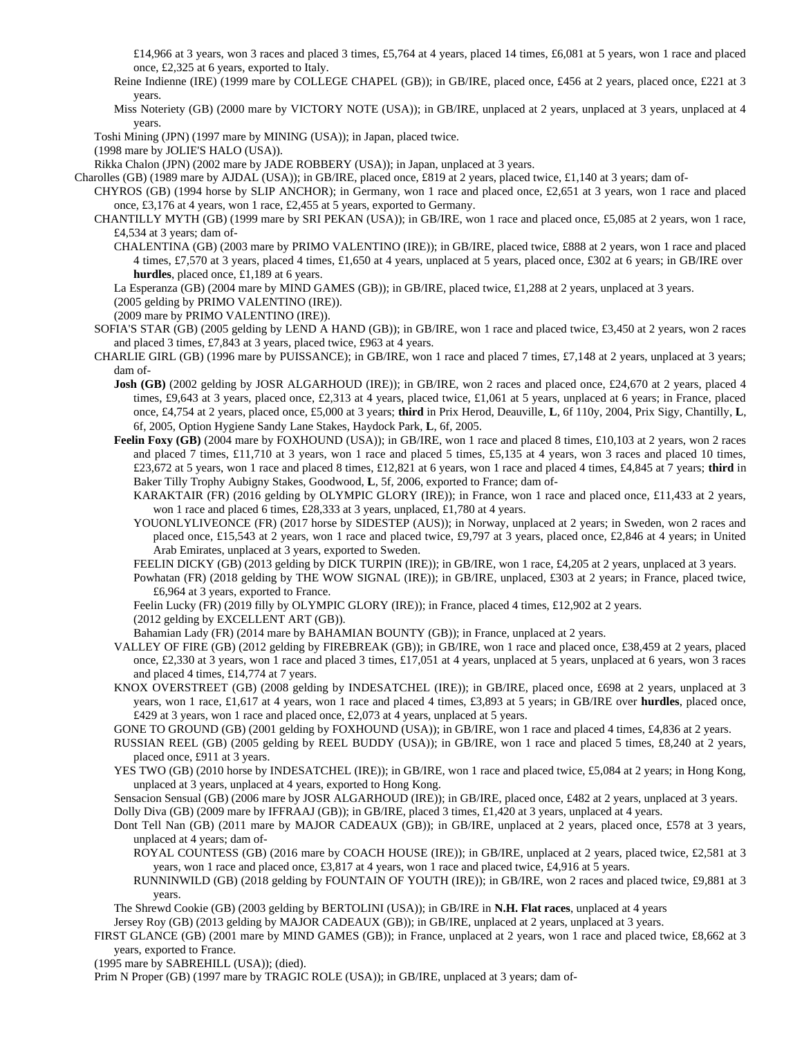£14,966 at 3 years, won 3 races and placed 3 times, £5,764 at 4 years, placed 14 times, £6,081 at 5 years, won 1 race and placed once, £2,325 at 6 years, exported to Italy.

Reine Indienne (IRE) (1999 mare by COLLEGE CHAPEL (GB)); in GB/IRE, placed once, £456 at 2 years, placed once, £221 at 3 years.

Miss Noteriety (GB) (2000 mare by VICTORY NOTE (USA)); in GB/IRE, unplaced at 2 years, unplaced at 3 years, unplaced at 4 years.

Toshi Mining (JPN) (1997 mare by MINING (USA)); in Japan, placed twice.

(1998 mare by JOLIE'S HALO (USA)).

Rikka Chalon (JPN) (2002 mare by JADE ROBBERY (USA)); in Japan, unplaced at 3 years.

Charolles (GB) (1989 mare by AJDAL (USA)); in GB/IRE, placed once, £819 at 2 years, placed twice, £1,140 at 3 years; dam of-

- CHYROS (GB) (1994 horse by SLIP ANCHOR); in Germany, won 1 race and placed once, £2,651 at 3 years, won 1 race and placed once, £3,176 at 4 years, won 1 race, £2,455 at 5 years, exported to Germany.
- CHANTILLY MYTH (GB) (1999 mare by SRI PEKAN (USA)); in GB/IRE, won 1 race and placed once, £5,085 at 2 years, won 1 race, £4,534 at 3 years; dam of-
	- CHALENTINA (GB) (2003 mare by PRIMO VALENTINO (IRE)); in GB/IRE, placed twice, £888 at 2 years, won 1 race and placed 4 times, £7,570 at 3 years, placed 4 times, £1,650 at 4 years, unplaced at 5 years, placed once, £302 at 6 years; in GB/IRE over **hurdles**, placed once, £1,189 at 6 years.
	- La Esperanza (GB) (2004 mare by MIND GAMES (GB)); in GB/IRE, placed twice, £1,288 at 2 years, unplaced at 3 years.

(2005 gelding by PRIMO VALENTINO (IRE)).

(2009 mare by PRIMO VALENTINO (IRE)).

- SOFIA'S STAR (GB) (2005 gelding by LEND A HAND (GB)); in GB/IRE, won 1 race and placed twice, £3,450 at 2 years, won 2 races and placed 3 times, £7,843 at 3 years, placed twice, £963 at 4 years.
- CHARLIE GIRL (GB) (1996 mare by PUISSANCE); in GB/IRE, won 1 race and placed 7 times, £7,148 at 2 years, unplaced at 3 years; dam of-
	- **Josh (GB)** (2002 gelding by JOSR ALGARHOUD (IRE)); in GB/IRE, won 2 races and placed once, £24,670 at 2 years, placed 4 times, £9,643 at 3 years, placed once, £2,313 at 4 years, placed twice, £1,061 at 5 years, unplaced at 6 years; in France, placed once, £4,754 at 2 years, placed once, £5,000 at 3 years; **third** in Prix Herod, Deauville, **L**, 6f 110y, 2004, Prix Sigy, Chantilly, **L**, 6f, 2005, Option Hygiene Sandy Lane Stakes, Haydock Park, **L**, 6f, 2005.
	- Feelin Foxy (GB) (2004 mare by FOXHOUND (USA)); in GB/IRE, won 1 race and placed 8 times, £10,103 at 2 years, won 2 races and placed 7 times, £11,710 at 3 years, won 1 race and placed 5 times, £5,135 at 4 years, won 3 races and placed 10 times, £23,672 at 5 years, won 1 race and placed 8 times, £12,821 at 6 years, won 1 race and placed 4 times, £4,845 at 7 years; **third** in Baker Tilly Trophy Aubigny Stakes, Goodwood, **L**, 5f, 2006, exported to France; dam of-
		- KARAKTAIR (FR) (2016 gelding by OLYMPIC GLORY (IRE)); in France, won 1 race and placed once, £11,433 at 2 years, won 1 race and placed 6 times, £28,333 at 3 years, unplaced, £1,780 at 4 years.
		- YOUONLYLIVEONCE (FR) (2017 horse by SIDESTEP (AUS)); in Norway, unplaced at 2 years; in Sweden, won 2 races and placed once, £15,543 at 2 years, won 1 race and placed twice, £9,797 at 3 years, placed once, £2,846 at 4 years; in United Arab Emirates, unplaced at 3 years, exported to Sweden.

FEELIN DICKY (GB) (2013 gelding by DICK TURPIN (IRE)); in GB/IRE, won 1 race, £4,205 at 2 years, unplaced at 3 years.

Powhatan (FR) (2018 gelding by THE WOW SIGNAL (IRE)); in GB/IRE, unplaced, £303 at 2 years; in France, placed twice, £6,964 at 3 years, exported to France.

Feelin Lucky (FR) (2019 filly by OLYMPIC GLORY (IRE)); in France, placed 4 times, £12,902 at 2 years.

(2012 gelding by EXCELLENT ART (GB)).

Bahamian Lady (FR) (2014 mare by BAHAMIAN BOUNTY (GB)); in France, unplaced at 2 years.

- VALLEY OF FIRE (GB) (2012 gelding by FIREBREAK (GB)); in GB/IRE, won 1 race and placed once, £38,459 at 2 years, placed once, £2,330 at 3 years, won 1 race and placed 3 times, £17,051 at 4 years, unplaced at 5 years, unplaced at 6 years, won 3 races and placed 4 times, £14,774 at 7 years.
- KNOX OVERSTREET (GB) (2008 gelding by INDESATCHEL (IRE)); in GB/IRE, placed once, £698 at 2 years, unplaced at 3 years, won 1 race, £1,617 at 4 years, won 1 race and placed 4 times, £3,893 at 5 years; in GB/IRE over **hurdles**, placed once, £429 at 3 years, won 1 race and placed once, £2,073 at 4 years, unplaced at 5 years.
- GONE TO GROUND (GB) (2001 gelding by FOXHOUND (USA)); in GB/IRE, won 1 race and placed 4 times, £4,836 at 2 years.
- RUSSIAN REEL (GB) (2005 gelding by REEL BUDDY (USA)); in GB/IRE, won 1 race and placed 5 times, £8,240 at 2 years, placed once, £911 at 3 years.
- YES TWO (GB) (2010 horse by INDESATCHEL (IRE)); in GB/IRE, won 1 race and placed twice, £5,084 at 2 years; in Hong Kong, unplaced at 3 years, unplaced at 4 years, exported to Hong Kong.
- Sensacion Sensual (GB) (2006 mare by JOSR ALGARHOUD (IRE)); in GB/IRE, placed once, £482 at 2 years, unplaced at 3 years. Dolly Diva (GB) (2009 mare by IFFRAAJ (GB)); in GB/IRE, placed 3 times, £1,420 at 3 years, unplaced at 4 years.
- Dont Tell Nan (GB) (2011 mare by MAJOR CADEAUX (GB)); in GB/IRE, unplaced at 2 years, placed once, £578 at 3 years, unplaced at 4 years; dam of-

ROYAL COUNTESS (GB) (2016 mare by COACH HOUSE (IRE)); in GB/IRE, unplaced at 2 years, placed twice, £2,581 at 3 years, won 1 race and placed once, £3,817 at 4 years, won 1 race and placed twice, £4,916 at 5 years.

RUNNINWILD (GB) (2018 gelding by FOUNTAIN OF YOUTH (IRE)); in GB/IRE, won 2 races and placed twice, £9,881 at 3 years.

The Shrewd Cookie (GB) (2003 gelding by BERTOLINI (USA)); in GB/IRE in **N.H. Flat races**, unplaced at 4 years

Jersey Roy (GB) (2013 gelding by MAJOR CADEAUX (GB)); in GB/IRE, unplaced at 2 years, unplaced at 3 years.

FIRST GLANCE (GB) (2001 mare by MIND GAMES (GB)); in France, unplaced at 2 years, won 1 race and placed twice, £8,662 at 3 years, exported to France.

(1995 mare by SABREHILL (USA)); (died).

Prim N Proper (GB) (1997 mare by TRAGIC ROLE (USA)); in GB/IRE, unplaced at 3 years; dam of-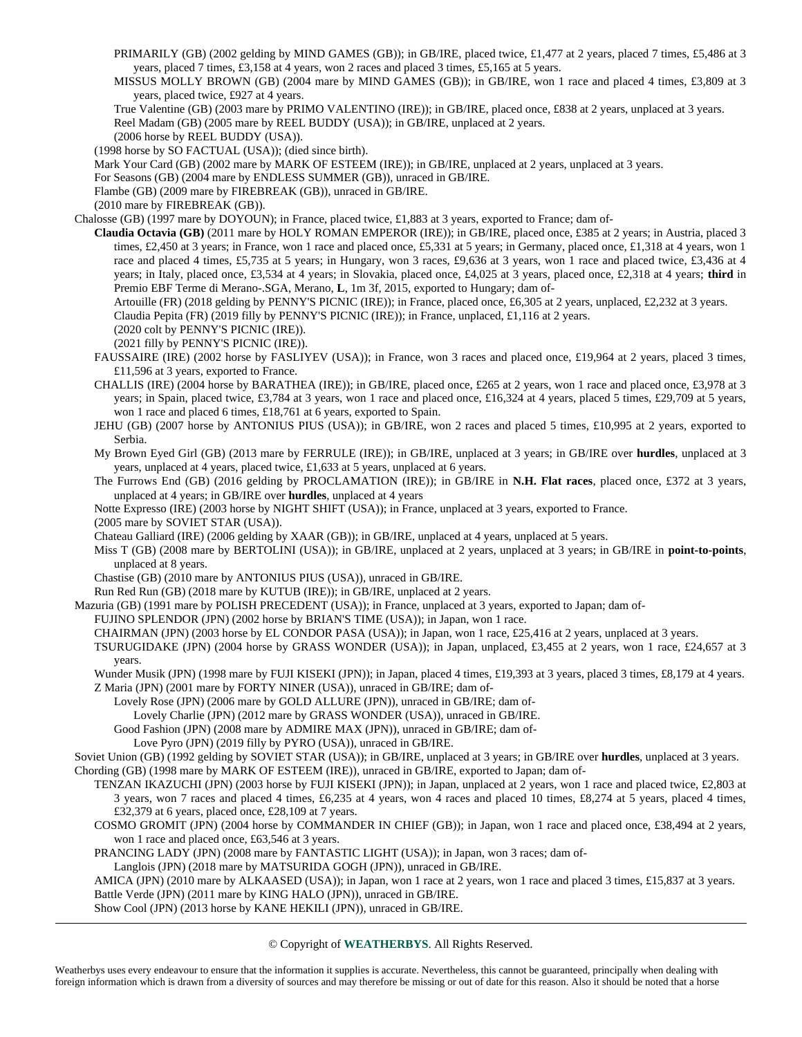- PRIMARILY (GB) (2002 gelding by MIND GAMES (GB)); in GB/IRE, placed twice, £1,477 at 2 years, placed 7 times, £5,486 at 3 years, placed 7 times, £3,158 at 4 years, won 2 races and placed 3 times, £5,165 at 5 years.
- MISSUS MOLLY BROWN (GB) (2004 mare by MIND GAMES (GB)); in GB/IRE, won 1 race and placed 4 times, £3,809 at 3 years, placed twice, £927 at 4 years.
- True Valentine (GB) (2003 mare by PRIMO VALENTINO (IRE)); in GB/IRE, placed once, £838 at 2 years, unplaced at 3 years. Reel Madam (GB) (2005 mare by REEL BUDDY (USA)); in GB/IRE, unplaced at 2 years.
- (2006 horse by REEL BUDDY (USA)).

(1998 horse by SO FACTUAL (USA)); (died since birth).

Mark Your Card (GB) (2002 mare by MARK OF ESTEEM (IRE)); in GB/IRE, unplaced at 2 years, unplaced at 3 years.

For Seasons (GB) (2004 mare by ENDLESS SUMMER (GB)), unraced in GB/IRE.

Flambe (GB) (2009 mare by FIREBREAK (GB)), unraced in GB/IRE.

(2010 mare by FIREBREAK (GB)).

Chalosse (GB) (1997 mare by DOYOUN); in France, placed twice, £1,883 at 3 years, exported to France; dam of-

**Claudia Octavia (GB)** (2011 mare by HOLY ROMAN EMPEROR (IRE)); in GB/IRE, placed once, £385 at 2 years; in Austria, placed 3 times, £2,450 at 3 years; in France, won 1 race and placed once, £5,331 at 5 years; in Germany, placed once, £1,318 at 4 years, won 1 race and placed 4 times, £5,735 at 5 years; in Hungary, won 3 races, £9,636 at 3 years, won 1 race and placed twice, £3,436 at 4 years; in Italy, placed once, £3,534 at 4 years; in Slovakia, placed once, £4,025 at 3 years, placed once, £2,318 at 4 years; third in Premio EBF Terme di Merano-.SGA, Merano, **L**, 1m 3f, 2015, exported to Hungary; dam of-

Artouille (FR) (2018 gelding by PENNY'S PICNIC (IRE)); in France, placed once, £6,305 at 2 years, unplaced, £2,232 at 3 years.

Claudia Pepita (FR) (2019 filly by PENNY'S PICNIC (IRE)); in France, unplaced, £1,116 at 2 years.

(2020 colt by PENNY'S PICNIC (IRE)).

(2021 filly by PENNY'S PICNIC (IRE)).

- FAUSSAIRE (IRE) (2002 horse by FASLIYEV (USA)); in France, won 3 races and placed once, £19,964 at 2 years, placed 3 times, £11,596 at 3 years, exported to France.
- CHALLIS (IRE) (2004 horse by BARATHEA (IRE)); in GB/IRE, placed once, £265 at 2 years, won 1 race and placed once, £3,978 at 3 years; in Spain, placed twice, £3,784 at 3 years, won 1 race and placed once, £16,324 at 4 years, placed 5 times, £29,709 at 5 years, won 1 race and placed 6 times, £18,761 at 6 years, exported to Spain.
- JEHU (GB) (2007 horse by ANTONIUS PIUS (USA)); in GB/IRE, won 2 races and placed 5 times, £10,995 at 2 years, exported to Serbia.
- My Brown Eyed Girl (GB) (2013 mare by FERRULE (IRE)); in GB/IRE, unplaced at 3 years; in GB/IRE over **hurdles**, unplaced at 3 years, unplaced at 4 years, placed twice, £1,633 at 5 years, unplaced at 6 years.
- The Furrows End (GB) (2016 gelding by PROCLAMATION (IRE)); in GB/IRE in **N.H. Flat races**, placed once, £372 at 3 years, unplaced at 4 years; in GB/IRE over **hurdles**, unplaced at 4 years

Notte Expresso (IRE) (2003 horse by NIGHT SHIFT (USA)); in France, unplaced at 3 years, exported to France.

(2005 mare by SOVIET STAR (USA)).

Chateau Galliard (IRE) (2006 gelding by XAAR (GB)); in GB/IRE, unplaced at 4 years, unplaced at 5 years.

Miss T (GB) (2008 mare by BERTOLINI (USA)); in GB/IRE, unplaced at 2 years, unplaced at 3 years; in GB/IRE in **point-to-points**, unplaced at 8 years.

Chastise (GB) (2010 mare by ANTONIUS PIUS (USA)), unraced in GB/IRE.

Run Red Run (GB) (2018 mare by KUTUB (IRE)); in GB/IRE, unplaced at 2 years.

Mazuria (GB) (1991 mare by POLISH PRECEDENT (USA)); in France, unplaced at 3 years, exported to Japan; dam of-

FUJINO SPLENDOR (JPN) (2002 horse by BRIAN'S TIME (USA)); in Japan, won 1 race.

CHAIRMAN (JPN) (2003 horse by EL CONDOR PASA (USA)); in Japan, won 1 race, £25,416 at 2 years, unplaced at 3 years.

TSURUGIDAKE (JPN) (2004 horse by GRASS WONDER (USA)); in Japan, unplaced, £3,455 at 2 years, won 1 race, £24,657 at 3 years.

Wunder Musik (JPN) (1998 mare by FUJI KISEKI (JPN)); in Japan, placed 4 times, £19,393 at 3 years, placed 3 times, £8,179 at 4 years. Z Maria (JPN) (2001 mare by FORTY NINER (USA)), unraced in GB/IRE; dam of-

Lovely Rose (JPN) (2006 mare by GOLD ALLURE (JPN)), unraced in GB/IRE; dam of-

Lovely Charlie (JPN) (2012 mare by GRASS WONDER (USA)), unraced in GB/IRE.

Good Fashion (JPN) (2008 mare by ADMIRE MAX (JPN)), unraced in GB/IRE; dam of-

Love Pyro (JPN) (2019 filly by PYRO (USA)), unraced in GB/IRE.

Soviet Union (GB) (1992 gelding by SOVIET STAR (USA)); in GB/IRE, unplaced at 3 years; in GB/IRE over **hurdles**, unplaced at 3 years. Chording (GB) (1998 mare by MARK OF ESTEEM (IRE)), unraced in GB/IRE, exported to Japan; dam of-

- TENZAN IKAZUCHI (JPN) (2003 horse by FUJI KISEKI (JPN)); in Japan, unplaced at 2 years, won 1 race and placed twice, £2,803 at 3 years, won 7 races and placed 4 times, £6,235 at 4 years, won 4 races and placed 10 times, £8,274 at 5 years, placed 4 times, £32,379 at 6 years, placed once, £28,109 at 7 years.
- COSMO GROMIT (JPN) (2004 horse by COMMANDER IN CHIEF (GB)); in Japan, won 1 race and placed once, £38,494 at 2 years, won 1 race and placed once, £63,546 at 3 years.

PRANCING LADY (JPN) (2008 mare by FANTASTIC LIGHT (USA)); in Japan, won 3 races; dam of-

Langlois (JPN) (2018 mare by MATSURIDA GOGH (JPN)), unraced in GB/IRE.

AMICA (JPN) (2010 mare by ALKAASED (USA)); in Japan, won 1 race at 2 years, won 1 race and placed 3 times, £15,837 at 3 years. Battle Verde (JPN) (2011 mare by KING HALO (JPN)), unraced in GB/IRE.

Show Cool (JPN) (2013 horse by KANE HEKILI (JPN)), unraced in GB/IRE.

## © Copyright of **WEATHERBYS**. All Rights Reserved.

Weatherbys uses every endeavour to ensure that the information it supplies is accurate. Nevertheless, this cannot be guaranteed, principally when dealing with foreign information which is drawn from a diversity of sources and may therefore be missing or out of date for this reason. Also it should be noted that a horse